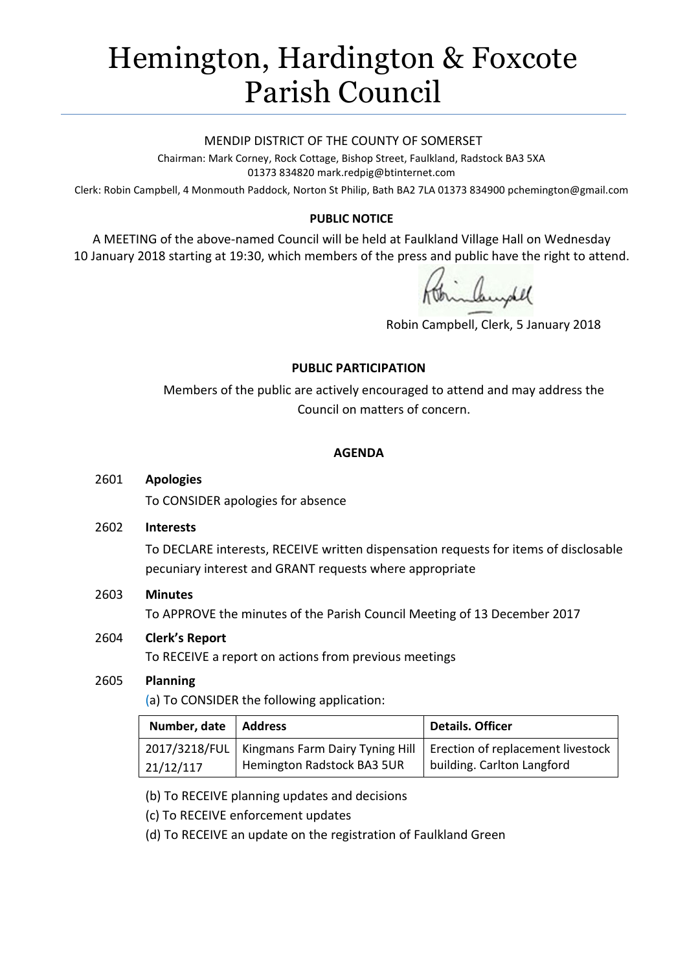# Hemington, Hardington & Foxcote Parish Council

#### MENDIP DISTRICT OF THE COUNTY OF SOMERSET

Chairman: Mark Corney, Rock Cottage, Bishop Street, Faulkland, Radstock BA3 5XA 01373 834820 mark.redpig@btinternet.com

Clerk: Robin Campbell, 4 Monmouth Paddock, Norton St Philip, Bath BA2 7LA 01373 834900 [pchemington@gmail.com](mailto:pchemington@gmail.com)

## **PUBLIC NOTICE**

A MEETING of the above-named Council will be held at Faulkland Village Hall on Wednesday 10 January 2018 starting at 19:30, which members of the press and public have the right to attend.

Robin Campbell, Clerk, 5 January 2018

### **PUBLIC PARTICIPATION**

Members of the public are actively encouraged to attend and may address the Council on matters of concern.

## **AGENDA**

#### 2601 **Apologies**

To CONSIDER apologies for absence

#### 2602 **Interests**

To DECLARE interests, RECEIVE written dispensation requests for items of disclosable pecuniary interest and GRANT requests where appropriate

### 2603 **Minutes**

To APPROVE the minutes of the Parish Council Meeting of 13 December 2017

### 2604 **Clerk's Report**

To RECEIVE a report on actions from previous meetings

### 2605 **Planning**

(a) To CONSIDER the following application:

| Number, date   Address |                            | <b>Details. Officer</b>                                                             |
|------------------------|----------------------------|-------------------------------------------------------------------------------------|
|                        |                            | 2017/3218/FUL   Kingmans Farm Dairy Tyning Hill   Erection of replacement livestock |
| 21/12/117              | Hemington Radstock BA3 5UR | building. Carlton Langford                                                          |

(b) To RECEIVE planning updates and decisions

(c) To RECEIVE enforcement updates

(d) To RECEIVE an update on the registration of Faulkland Green